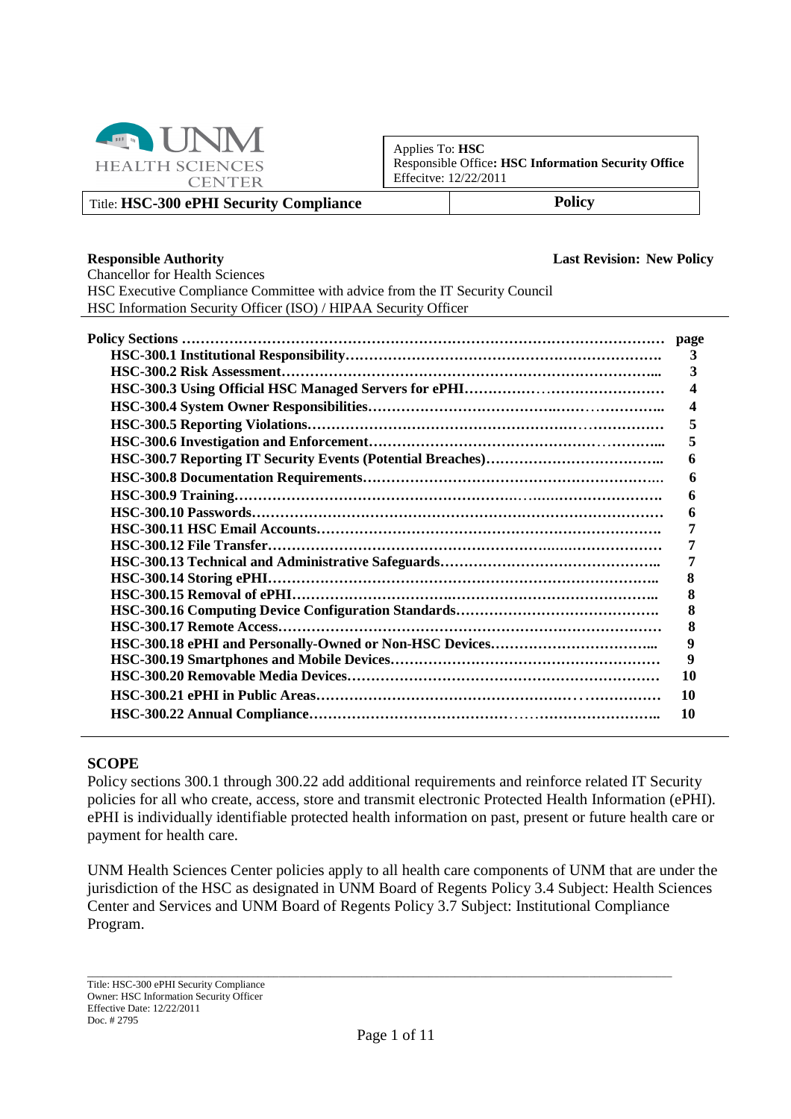

Applies To: **HSC** Responsible Office**: HSC Information Security Office** Effecitve: 12/22/2011

Title: **HSC-300 ePHI Security Compliance Policy**

#### **Responsible Authority Last Revision: New Policy**

Chancellor for Health Sciences HSC Executive Compliance Committee with advice from the IT Security Council HSC Information Security Officer (ISO) / HIPAA Security Officer

| 3         |
|-----------|
| 3         |
|           |
|           |
| 5         |
| 5         |
|           |
| 6         |
|           |
|           |
|           |
|           |
|           |
| 8         |
|           |
|           |
| 8         |
| 9         |
| 9         |
| <b>10</b> |
| <b>10</b> |
| 10        |

#### **SCOPE**

Policy sections 300.1 through 300.22 add additional requirements and reinforce related IT Security policies for all who create, access, store and transmit electronic Protected Health Information (ePHI). ePHI is individually identifiable protected health information on past, present or future health care or payment for health care.

UNM Health Sciences Center policies apply to all health care components of UNM that are under the jurisdiction of the HSC as designated in UNM Board of Regents Policy 3.4 Subject: Health Sciences Center and Services and UNM Board of Regents Policy 3.7 Subject: Institutional Compliance Program.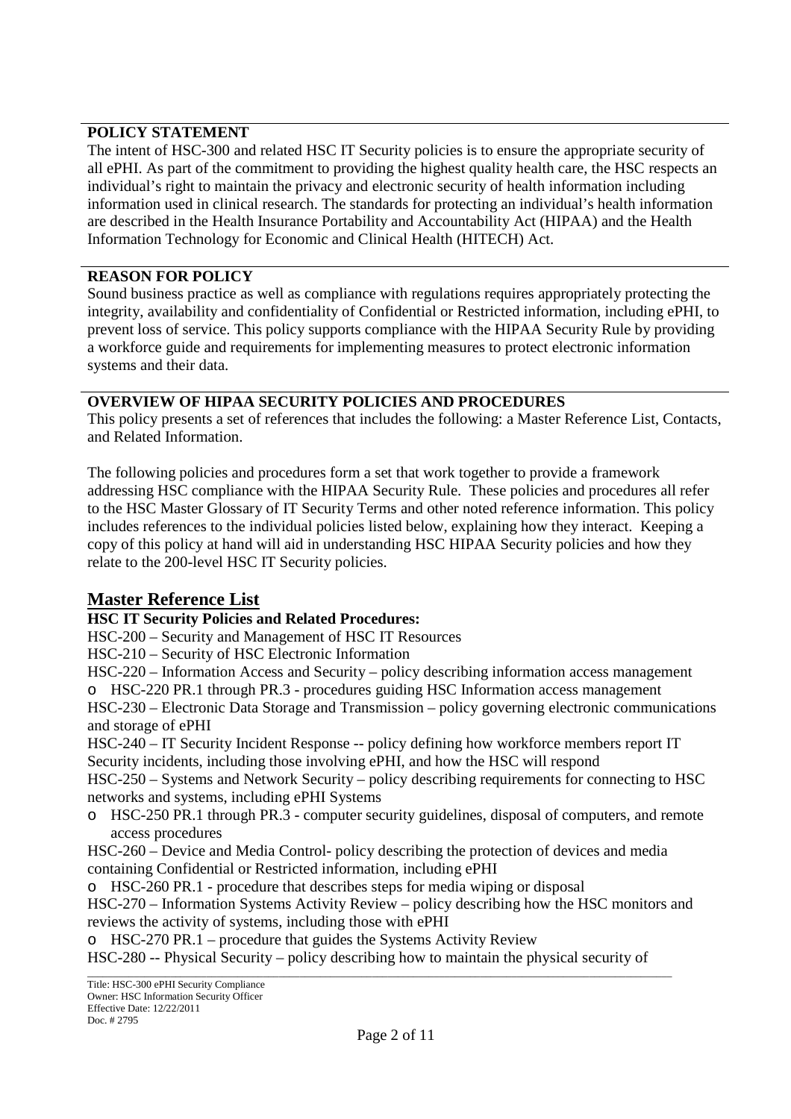### **POLICY STATEMENT**

The intent of HSC-300 and related HSC IT Security policies is to ensure the appropriate security of all ePHI. As part of the commitment to providing the highest quality health care, the HSC respects an individual's right to maintain the privacy and electronic security of health information including information used in clinical research. The standards for protecting an individual's health information are described in the Health Insurance Portability and Accountability Act (HIPAA) and the Health Information Technology for Economic and Clinical Health (HITECH) Act.

### **REASON FOR POLICY**

Sound business practice as well as compliance with regulations requires appropriately protecting the integrity, availability and confidentiality of Confidential or Restricted information, including ePHI, to prevent loss of service. This policy supports compliance with the HIPAA Security Rule by providing a workforce guide and requirements for implementing measures to protect electronic information systems and their data.

### **OVERVIEW OF HIPAA SECURITY POLICIES AND PROCEDURES**

This policy presents a set of references that includes the following: a Master Reference List, Contacts, and Related Information.

The following policies and procedures form a set that work together to provide a framework addressing HSC compliance with the HIPAA Security Rule. These policies and procedures all refer to the HSC Master Glossary of IT Security Terms and other noted reference information. This policy includes references to the individual policies listed below, explaining how they interact. Keeping a copy of this policy at hand will aid in understanding HSC HIPAA Security policies and how they relate to the 200-level HSC IT Security policies.

# **Master Reference List**

### **HSC IT Security Policies and Related Procedures:**

HSC-200 – Security and Management of HSC IT Resources

HSC-210 – Security of HSC Electronic Information

HSC-220 – Information Access and Security – policy describing information access management

o HSC-220 PR.1 through PR.3 - procedures guiding HSC Information access management

HSC-230 – Electronic Data Storage and Transmission – policy governing electronic communications and storage of ePHI

HSC-240 – IT Security Incident Response -- policy defining how workforce members report IT Security incidents, including those involving ePHI, and how the HSC will respond

HSC-250 – Systems and Network Security – policy describing requirements for connecting to HSC networks and systems, including ePHI Systems

o HSC-250 PR.1 through PR.3 - computer security guidelines, disposal of computers, and remote access procedures

HSC-260 – Device and Media Control- policy describing the protection of devices and media containing Confidential or Restricted information, including ePHI

o HSC-260 PR.1 - procedure that describes steps for media wiping or disposal

HSC-270 – Information Systems Activity Review – policy describing how the HSC monitors and reviews the activity of systems, including those with ePHI

o HSC-270 PR.1 – procedure that guides the Systems Activity Review

HSC-280 -- Physical Security – policy describing how to maintain the physical security of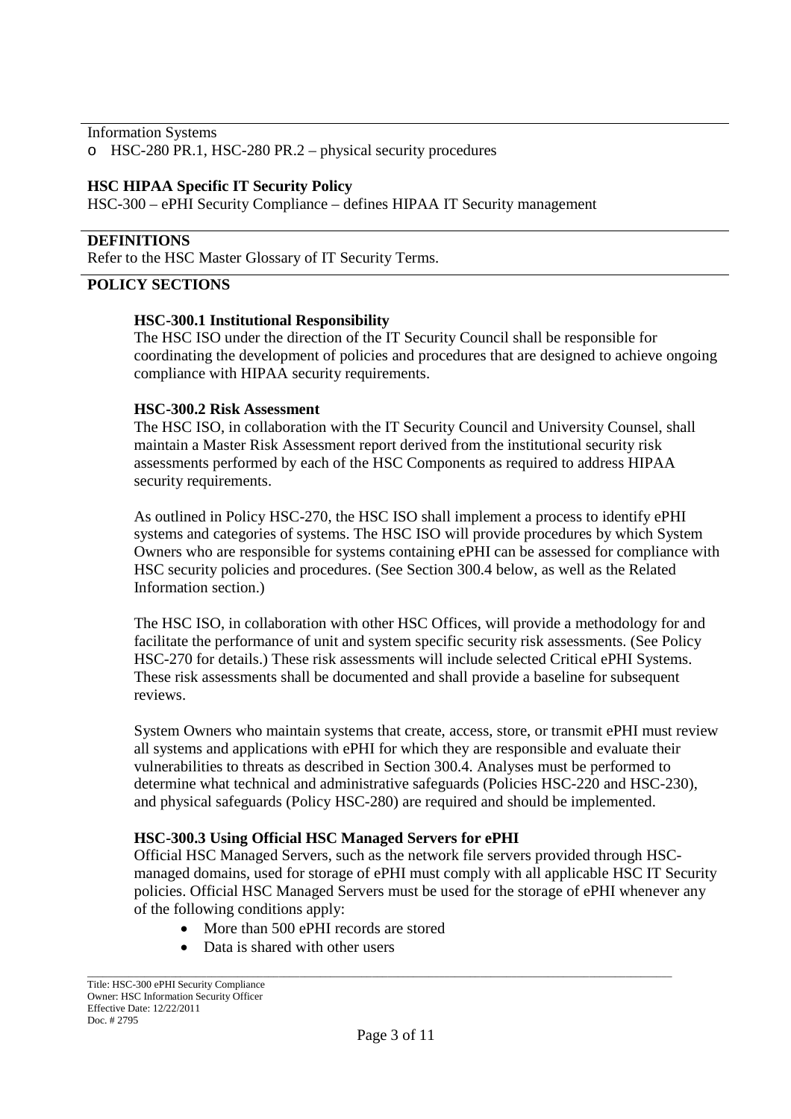Information Systems

o HSC-280 PR.1, HSC-280 PR.2 – physical security procedures

#### **HSC HIPAA Specific IT Security Policy**

HSC-300 – ePHI Security Compliance – defines HIPAA IT Security management

#### **DEFINITIONS**

Refer to the HSC Master Glossary of IT Security Terms.

#### **POLICY SECTIONS**

#### **HSC-300.1 Institutional Responsibility**

The HSC ISO under the direction of the IT Security Council shall be responsible for coordinating the development of policies and procedures that are designed to achieve ongoing compliance with HIPAA security requirements.

#### **HSC-300.2 Risk Assessment**

The HSC ISO, in collaboration with the IT Security Council and University Counsel, shall maintain a Master Risk Assessment report derived from the institutional security risk assessments performed by each of the HSC Components as required to address HIPAA security requirements.

As outlined in Policy HSC-270, the HSC ISO shall implement a process to identify ePHI systems and categories of systems. The HSC ISO will provide procedures by which System Owners who are responsible for systems containing ePHI can be assessed for compliance with HSC security policies and procedures. (See Section 300.4 below, as well as the Related Information section.)

The HSC ISO, in collaboration with other HSC Offices, will provide a methodology for and facilitate the performance of unit and system specific security risk assessments. (See Policy HSC-270 for details.) These risk assessments will include selected Critical ePHI Systems. These risk assessments shall be documented and shall provide a baseline for subsequent reviews.

System Owners who maintain systems that create, access, store, or transmit ePHI must review all systems and applications with ePHI for which they are responsible and evaluate their vulnerabilities to threats as described in Section 300.4. Analyses must be performed to determine what technical and administrative safeguards (Policies HSC-220 and HSC-230), and physical safeguards (Policy HSC-280) are required and should be implemented.

#### **HSC-300.3 Using Official HSC Managed Servers for ePHI**

Official HSC Managed Servers, such as the network file servers provided through HSCmanaged domains, used for storage of ePHI must comply with all applicable HSC IT Security policies. Official HSC Managed Servers must be used for the storage of ePHI whenever any of the following conditions apply:

- More than 500 ePHI records are stored
- Data is shared with other users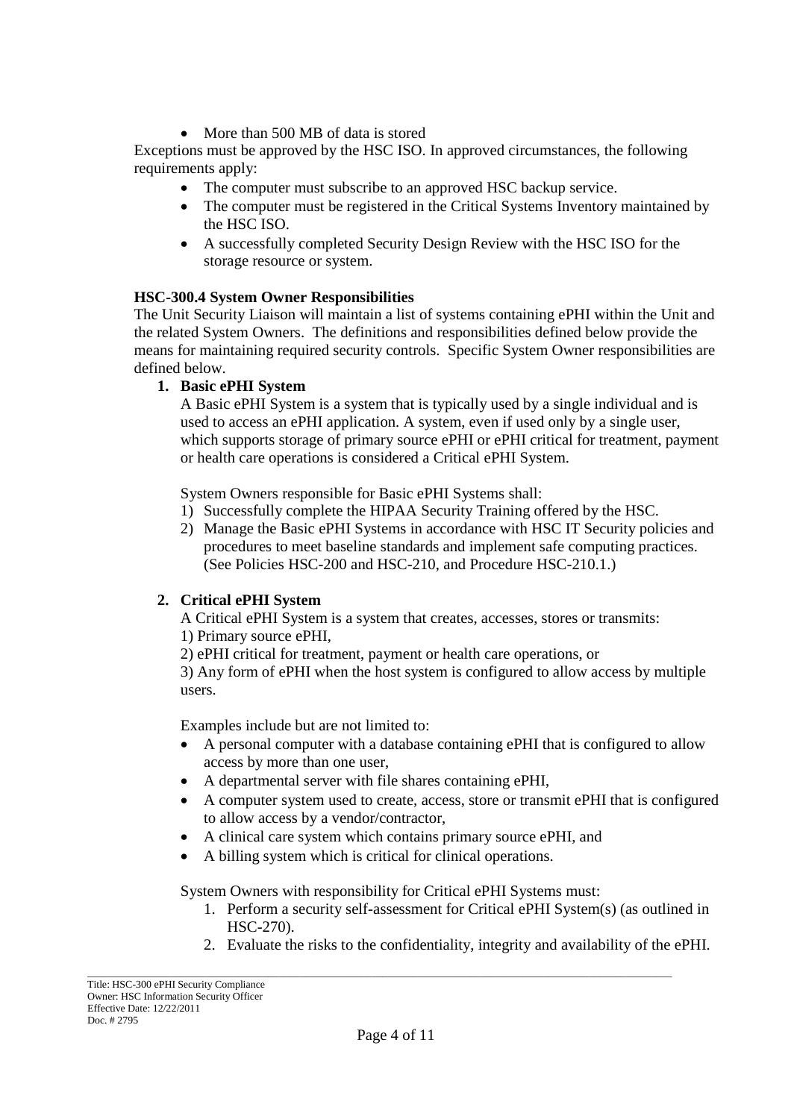• More than 500 MB of data is stored

Exceptions must be approved by the HSC ISO. In approved circumstances, the following requirements apply:

- The computer must subscribe to an approved HSC backup service.
- The computer must be registered in the Critical Systems Inventory maintained by the HSC ISO.
- A successfully completed Security Design Review with the HSC ISO for the storage resource or system.

# **HSC-300.4 System Owner Responsibilities**

The Unit Security Liaison will maintain a list of systems containing ePHI within the Unit and the related System Owners. The definitions and responsibilities defined below provide the means for maintaining required security controls. Specific System Owner responsibilities are defined below.

### **1. Basic ePHI System**

A Basic ePHI System is a system that is typically used by a single individual and is used to access an ePHI application. A system, even if used only by a single user, which supports storage of primary source ePHI or ePHI critical for treatment, payment or health care operations is considered a Critical ePHI System.

System Owners responsible for Basic ePHI Systems shall:

- 1) Successfully complete the HIPAA Security Training offered by the HSC.
- 2) Manage the Basic ePHI Systems in accordance with HSC IT Security policies and procedures to meet baseline standards and implement safe computing practices. (See Policies HSC-200 and HSC-210, and Procedure HSC-210.1.)

# **2. Critical ePHI System**

A Critical ePHI System is a system that creates, accesses, stores or transmits:

- 1) Primary source ePHI,
- 2) ePHI critical for treatment, payment or health care operations, or

3) Any form of ePHI when the host system is configured to allow access by multiple users.

Examples include but are not limited to:

- A personal computer with a database containing ePHI that is configured to allow access by more than one user,
- A departmental server with file shares containing ePHI,
- A computer system used to create, access, store or transmit ePHI that is configured to allow access by a vendor/contractor,
- A clinical care system which contains primary source ePHI, and
- A billing system which is critical for clinical operations.

System Owners with responsibility for Critical ePHI Systems must:

- 1. Perform a security self-assessment for Critical ePHI System(s) (as outlined in HSC-270).
- 2. Evaluate the risks to the confidentiality, integrity and availability of the ePHI.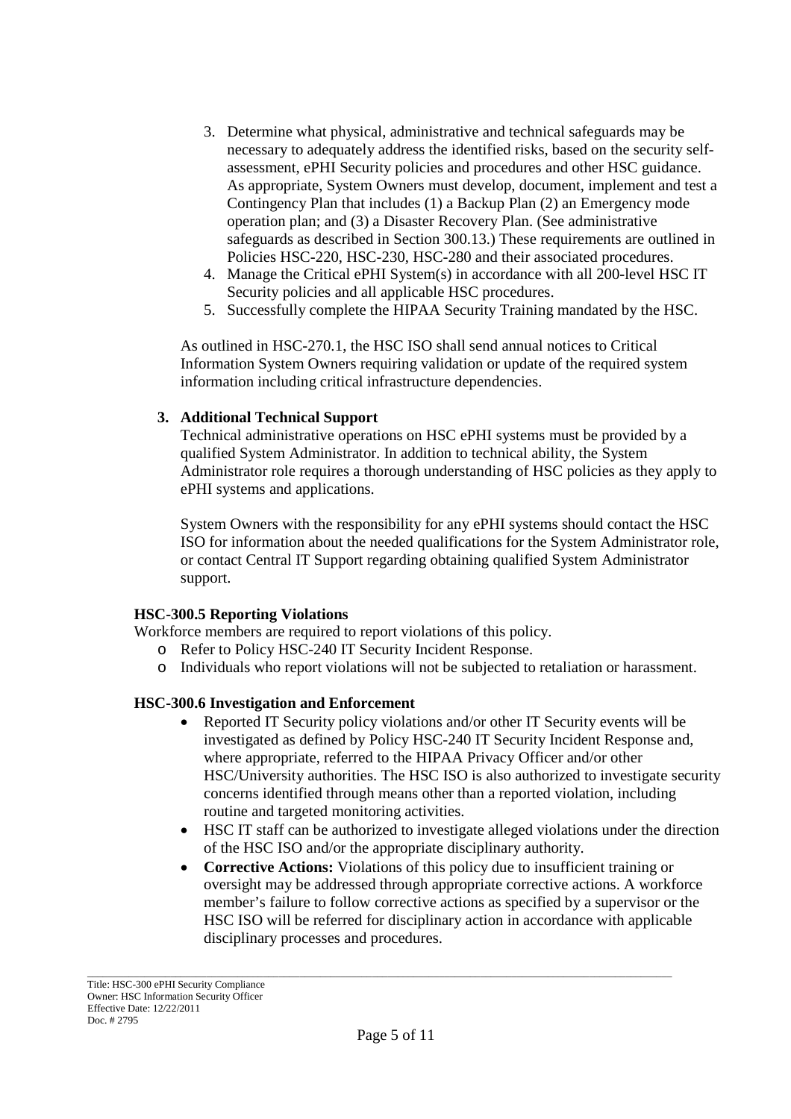- 3. Determine what physical, administrative and technical safeguards may be necessary to adequately address the identified risks, based on the security selfassessment, ePHI Security policies and procedures and other HSC guidance. As appropriate, System Owners must develop, document, implement and test a Contingency Plan that includes (1) a Backup Plan (2) an Emergency mode operation plan; and (3) a Disaster Recovery Plan. (See administrative safeguards as described in Section 300.13.) These requirements are outlined in Policies HSC-220, HSC-230, HSC-280 and their associated procedures.
- 4. Manage the Critical ePHI System(s) in accordance with all 200-level HSC IT Security policies and all applicable HSC procedures.
- 5. Successfully complete the HIPAA Security Training mandated by the HSC.

As outlined in HSC-270.1, the HSC ISO shall send annual notices to Critical Information System Owners requiring validation or update of the required system information including critical infrastructure dependencies.

### **3. Additional Technical Support**

Technical administrative operations on HSC ePHI systems must be provided by a qualified System Administrator. In addition to technical ability, the System Administrator role requires a thorough understanding of HSC policies as they apply to ePHI systems and applications.

System Owners with the responsibility for any ePHI systems should contact the HSC ISO for information about the needed qualifications for the System Administrator role, or contact Central IT Support regarding obtaining qualified System Administrator support.

### **HSC-300.5 Reporting Violations**

Workforce members are required to report violations of this policy.

- o Refer to Policy HSC-240 IT Security Incident Response.
- o Individuals who report violations will not be subjected to retaliation or harassment.

### **HSC-300.6 Investigation and Enforcement**

- Reported IT Security policy violations and/or other IT Security events will be investigated as defined by Policy HSC-240 IT Security Incident Response and, where appropriate, referred to the HIPAA Privacy Officer and/or other HSC/University authorities. The HSC ISO is also authorized to investigate security concerns identified through means other than a reported violation, including routine and targeted monitoring activities.
- HSC IT staff can be authorized to investigate alleged violations under the direction of the HSC ISO and/or the appropriate disciplinary authority.
- **Corrective Actions:** Violations of this policy due to insufficient training or oversight may be addressed through appropriate corrective actions. A workforce member's failure to follow corrective actions as specified by a supervisor or the HSC ISO will be referred for disciplinary action in accordance with applicable disciplinary processes and procedures.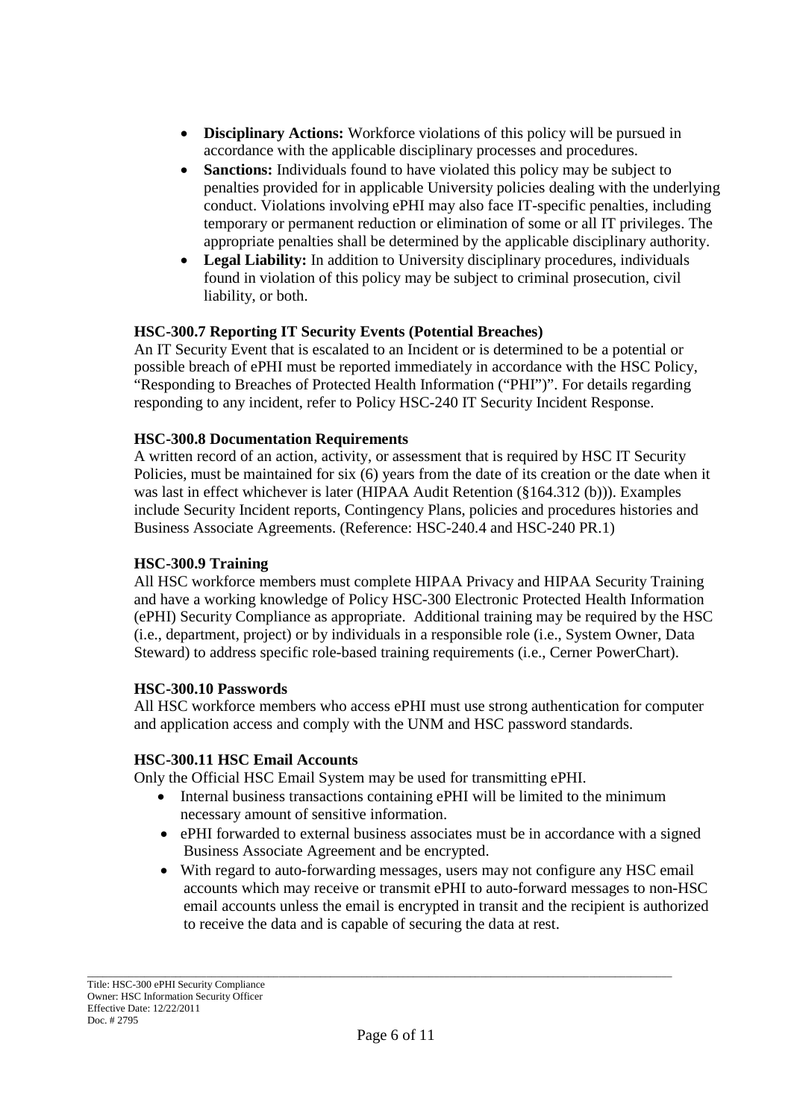- **Disciplinary Actions:** Workforce violations of this policy will be pursued in accordance with the applicable disciplinary processes and procedures.
- **Sanctions:** Individuals found to have violated this policy may be subject to penalties provided for in applicable University policies dealing with the underlying conduct. Violations involving ePHI may also face IT-specific penalties, including temporary or permanent reduction or elimination of some or all IT privileges. The appropriate penalties shall be determined by the applicable disciplinary authority.
- **Legal Liability:** In addition to University disciplinary procedures, individuals found in violation of this policy may be subject to criminal prosecution, civil liability, or both.

### **HSC-300.7 Reporting IT Security Events (Potential Breaches)**

An IT Security Event that is escalated to an Incident or is determined to be a potential or possible breach of ePHI must be reported immediately in accordance with the HSC Policy, "Responding to Breaches of Protected Health Information ("PHI")". For details regarding responding to any incident, refer to Policy HSC-240 IT Security Incident Response.

### **HSC-300.8 Documentation Requirements**

A written record of an action, activity, or assessment that is required by HSC IT Security Policies, must be maintained for six (6) years from the date of its creation or the date when it was last in effect whichever is later (HIPAA Audit Retention (§164.312 (b))). Examples include Security Incident reports, Contingency Plans, policies and procedures histories and Business Associate Agreements. (Reference: HSC-240.4 and HSC-240 PR.1)

#### **HSC-300.9 Training**

All HSC workforce members must complete HIPAA Privacy and HIPAA Security Training and have a working knowledge of Policy HSC-300 Electronic Protected Health Information (ePHI) Security Compliance as appropriate. Additional training may be required by the HSC (i.e., department, project) or by individuals in a responsible role (i.e., System Owner, Data Steward) to address specific role-based training requirements (i.e., Cerner PowerChart).

### **HSC-300.10 Passwords**

All HSC workforce members who access ePHI must use strong authentication for computer and application access and comply with the UNM and HSC password standards.

#### **HSC-300.11 HSC Email Accounts**

Only the Official HSC Email System may be used for transmitting ePHI.

- Internal business transactions containing ePHI will be limited to the minimum necessary amount of sensitive information.
- ePHI forwarded to external business associates must be in accordance with a signed Business Associate Agreement and be encrypted.
- With regard to auto-forwarding messages, users may not configure any HSC email accounts which may receive or transmit ePHI to auto-forward messages to non-HSC email accounts unless the email is encrypted in transit and the recipient is authorized to receive the data and is capable of securing the data at rest.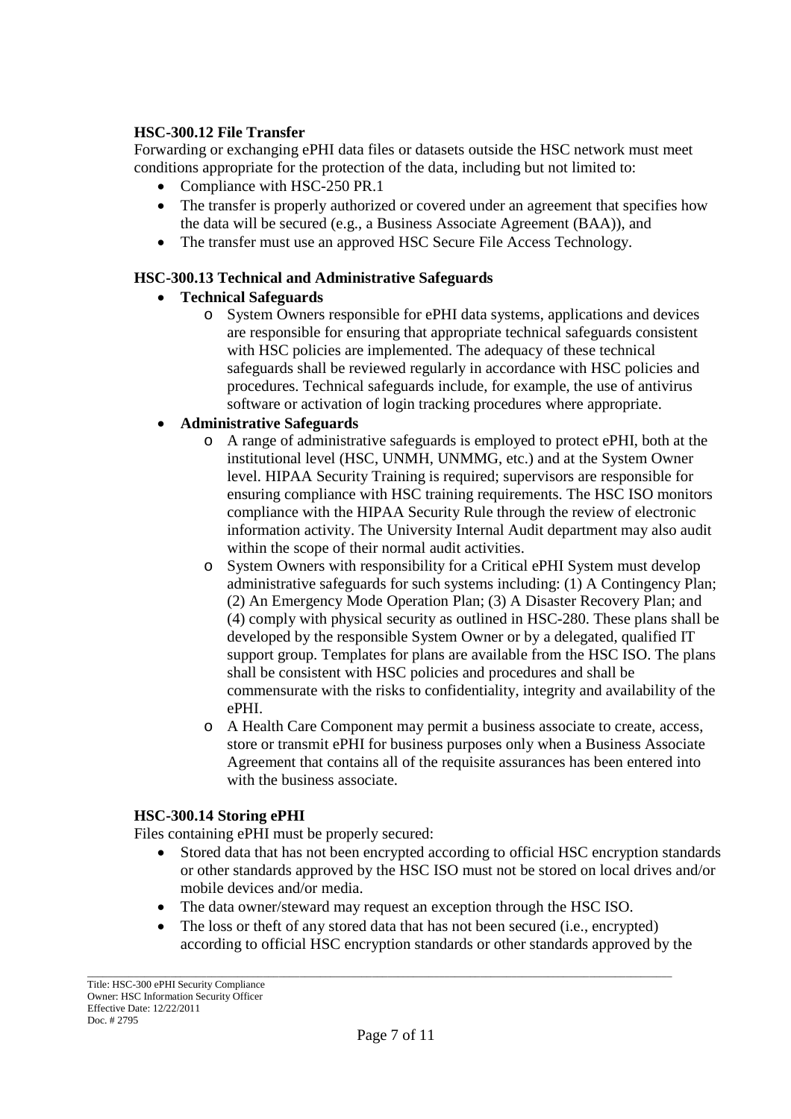### **HSC-300.12 File Transfer**

Forwarding or exchanging ePHI data files or datasets outside the HSC network must meet conditions appropriate for the protection of the data, including but not limited to:

- Compliance with HSC-250 PR.1
- The transfer is properly authorized or covered under an agreement that specifies how the data will be secured (e.g., a Business Associate Agreement (BAA)), and
- The transfer must use an approved HSC Secure File Access Technology.

# **HSC-300.13 Technical and Administrative Safeguards**

- **Technical Safeguards**
	- o System Owners responsible for ePHI data systems, applications and devices are responsible for ensuring that appropriate technical safeguards consistent with HSC policies are implemented. The adequacy of these technical safeguards shall be reviewed regularly in accordance with HSC policies and procedures. Technical safeguards include, for example, the use of antivirus software or activation of login tracking procedures where appropriate.

# **Administrative Safeguards**

- o A range of administrative safeguards is employed to protect ePHI, both at the institutional level (HSC, UNMH, UNMMG, etc.) and at the System Owner level. HIPAA Security Training is required; supervisors are responsible for ensuring compliance with HSC training requirements. The HSC ISO monitors compliance with the HIPAA Security Rule through the review of electronic information activity. The University Internal Audit department may also audit within the scope of their normal audit activities.
- o System Owners with responsibility for a Critical ePHI System must develop administrative safeguards for such systems including: (1) A Contingency Plan; (2) An Emergency Mode Operation Plan; (3) A Disaster Recovery Plan; and (4) comply with physical security as outlined in HSC-280. These plans shall be developed by the responsible System Owner or by a delegated, qualified IT support group. Templates for plans are available from the HSC ISO. The plans shall be consistent with HSC policies and procedures and shall be commensurate with the risks to confidentiality, integrity and availability of the ePHI.
- o A Health Care Component may permit a business associate to create, access, store or transmit ePHI for business purposes only when a Business Associate Agreement that contains all of the requisite assurances has been entered into with the business associate.

### **HSC-300.14 Storing ePHI**

Files containing ePHI must be properly secured:

- Stored data that has not been encrypted according to official HSC encryption standards or other standards approved by the HSC ISO must not be stored on local drives and/or mobile devices and/or media.
- The data owner/steward may request an exception through the HSC ISO.
- The loss or theft of any stored data that has not been secured (i.e., encrypted) according to official HSC encryption standards or other standards approved by the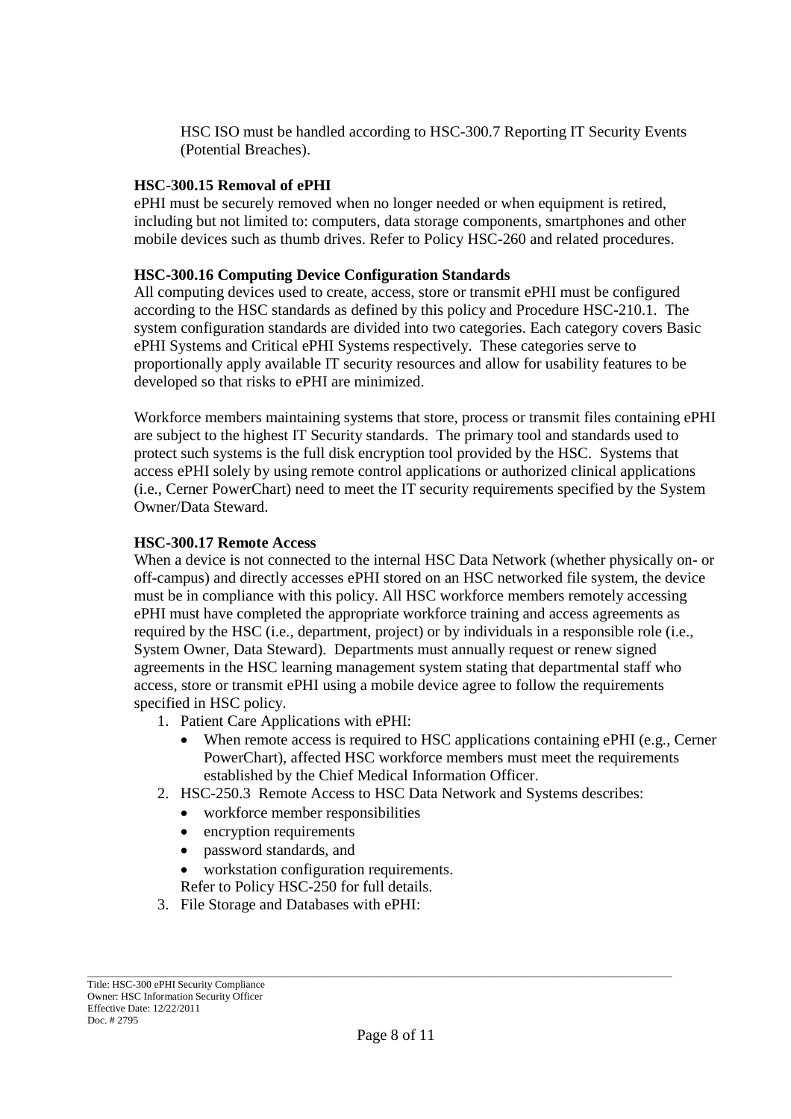HSC ISO must be handled according to HSC-300.7 Reporting IT Security Events (Potential Breaches).

### **HSC-300.15 Removal of ePHI**

ePHI must be securely removed when no longer needed or when equipment is retired, including but not limited to: computers, data storage components, smartphones and other mobile devices such as thumb drives. Refer to Policy HSC-260 and related procedures.

#### **HSC-300.16 Computing Device Configuration Standards**

All computing devices used to create, access, store or transmit ePHI must be configured according to the HSC standards as defined by this policy and Procedure HSC-210.1. The system configuration standards are divided into two categories. Each category covers Basic ePHI Systems and Critical ePHI Systems respectively. These categories serve to proportionally apply available IT security resources and allow for usability features to be developed so that risks to ePHI are minimized.

Workforce members maintaining systems that store, process or transmit files containing ePHI are subject to the highest IT Security standards. The primary tool and standards used to protect such systems is the full disk encryption tool provided by the HSC. Systems that access ePHI solely by using remote control applications or authorized clinical applications (i.e., Cerner PowerChart) need to meet the IT security requirements specified by the System Owner/Data Steward.

#### **HSC-300.17 Remote Access**

When a device is not connected to the internal HSC Data Network (whether physically on- or off-campus) and directly accesses ePHI stored on an HSC networked file system, the device must be in compliance with this policy. All HSC workforce members remotely accessing ePHI must have completed the appropriate workforce training and access agreements as required by the HSC (i.e., department, project) or by individuals in a responsible role (i.e., System Owner, Data Steward). Departments must annually request or renew signed agreements in the HSC learning management system stating that departmental staff who access, store or transmit ePHI using a mobile device agree to follow the requirements specified in HSC policy.

- 1. Patient Care Applications with ePHI:
	- When remote access is required to HSC applications containing ePHI (e.g., Cerner PowerChart), affected HSC workforce members must meet the requirements established by the Chief Medical Information Officer.
- 2. HSC-250.3 Remote Access to HSC Data Network and Systems describes:
	- workforce member responsibilities
	- encryption requirements
	- password standards, and
	- workstation configuration requirements.
	- Refer to Policy HSC-250 for full details.
- 3. File Storage and Databases with ePHI: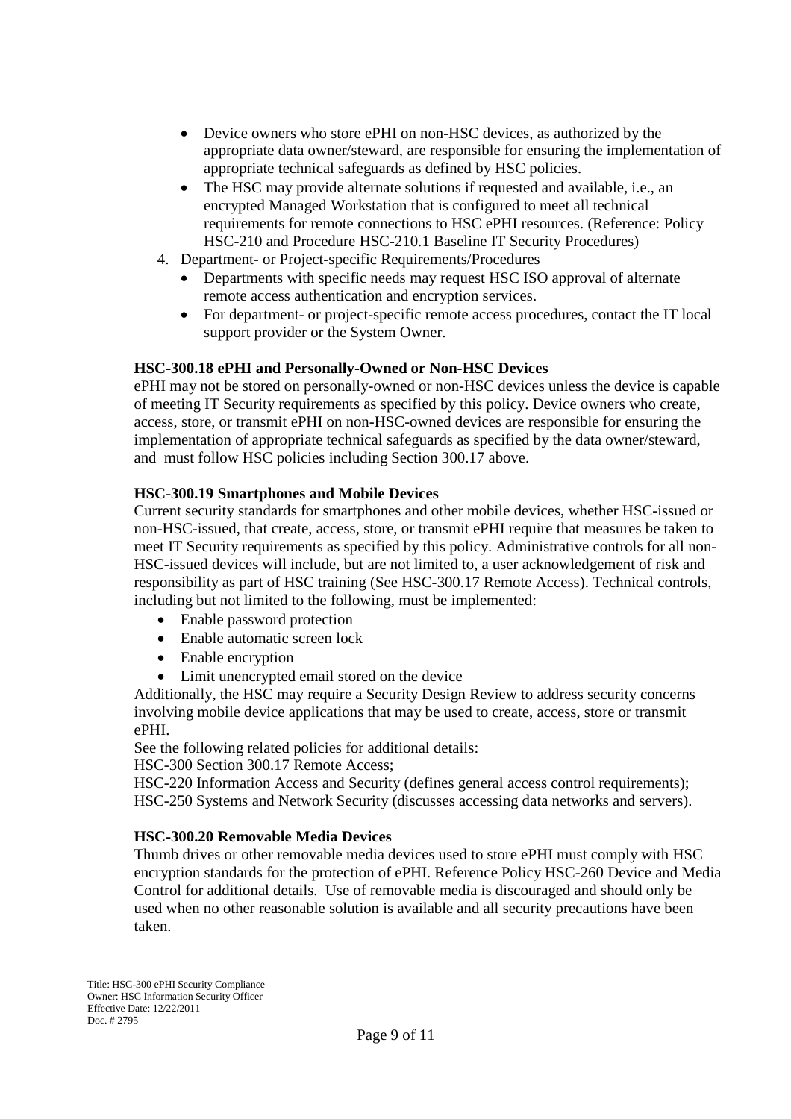- Device owners who store ePHI on non-HSC devices, as authorized by the appropriate data owner/steward, are responsible for ensuring the implementation of appropriate technical safeguards as defined by HSC policies.
- The HSC may provide alternate solutions if requested and available, i.e., an encrypted Managed Workstation that is configured to meet all technical requirements for remote connections to HSC ePHI resources. (Reference: Policy HSC-210 and Procedure HSC-210.1 Baseline IT Security Procedures)
- 4. Department- or Project-specific Requirements/Procedures
	- Departments with specific needs may request HSC ISO approval of alternate remote access authentication and encryption services.
	- For department- or project-specific remote access procedures, contact the IT local support provider or the System Owner.

### **HSC-300.18 ePHI and Personally-Owned or Non-HSC Devices**

ePHI may not be stored on personally-owned or non-HSC devices unless the device is capable of meeting IT Security requirements as specified by this policy. Device owners who create, access, store, or transmit ePHI on non-HSC-owned devices are responsible for ensuring the implementation of appropriate technical safeguards as specified by the data owner/steward, and must follow HSC policies including Section 300.17 above.

### **HSC-300.19 Smartphones and Mobile Devices**

Current security standards for smartphones and other mobile devices, whether HSC-issued or non-HSC-issued, that create, access, store, or transmit ePHI require that measures be taken to meet IT Security requirements as specified by this policy. Administrative controls for all non-HSC-issued devices will include, but are not limited to, a user acknowledgement of risk and responsibility as part of HSC training (See HSC-300.17 Remote Access). Technical controls, including but not limited to the following, must be implemented:

- Enable password protection
- Enable automatic screen lock
- Enable encryption
- Limit unencrypted email stored on the device

Additionally, the HSC may require a Security Design Review to address security concerns involving mobile device applications that may be used to create, access, store or transmit ePHI.

See the following related policies for additional details:

HSC-300 Section 300.17 Remote Access;

HSC-220 Information Access and Security (defines general access control requirements); HSC-250 Systems and Network Security (discusses accessing data networks and servers).

#### **HSC-300.20 Removable Media Devices**

Thumb drives or other removable media devices used to store ePHI must comply with HSC encryption standards for the protection of ePHI. Reference Policy HSC-260 Device and Media Control for additional details. Use of removable media is discouraged and should only be used when no other reasonable solution is available and all security precautions have been taken.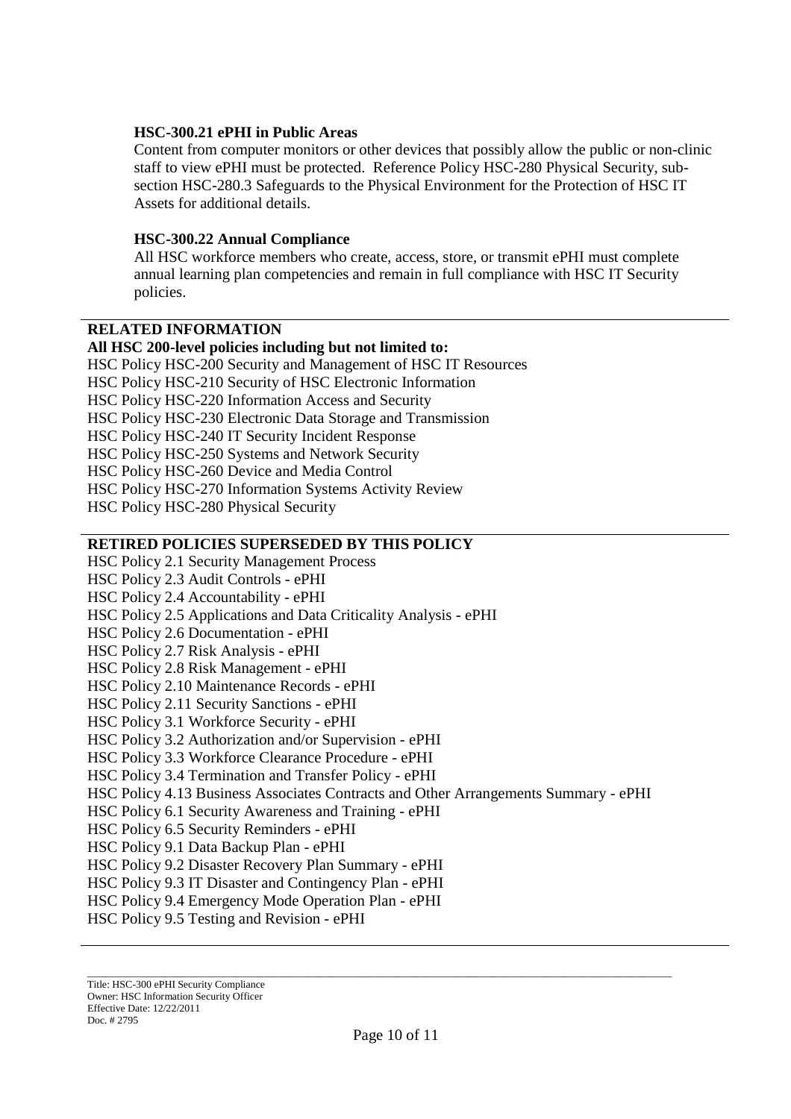#### **HSC-300.21 ePHI in Public Areas**

Content from computer monitors or other devices that possibly allow the public or non-clinic staff to view ePHI must be protected. Reference Policy HSC-280 Physical Security, subsection HSC-280.3 Safeguards to the Physical Environment for the Protection of HSC IT Assets for additional details.

#### **HSC-300.22 Annual Compliance**

All HSC workforce members who create, access, store, or transmit ePHI must complete annual learning plan competencies and remain in full compliance with HSC IT Security policies.

### **RELATED INFORMATION**

#### **All HSC 200-level policies including but not limited to:**

HSC Policy HSC-200 Security and Management of HSC IT Resources HSC Policy HSC-210 Security of HSC Electronic Information HSC Policy HSC-220 Information Access and Security HSC Policy HSC-230 Electronic Data Storage and Transmission HSC Policy HSC-240 IT Security Incident Response HSC Policy HSC-250 Systems and Network Security HSC Policy HSC-260 Device and Media Control HSC Policy HSC-270 Information Systems Activity Review HSC Policy HSC-280 Physical Security

#### **RETIRED POLICIES SUPERSEDED BY THIS POLICY**

HSC Policy 2.1 Security Management Process HSC Policy 2.3 Audit Controls - ePHI HSC Policy 2.4 Accountability - ePHI HSC Policy 2.5 Applications and Data Criticality Analysis - ePHI HSC Policy 2.6 Documentation - ePHI HSC Policy 2.7 Risk Analysis - ePHI HSC Policy 2.8 Risk Management - ePHI HSC Policy 2.10 Maintenance Records - ePHI HSC Policy 2.11 Security Sanctions - ePHI HSC Policy 3.1 Workforce Security - ePHI HSC Policy 3.2 Authorization and/or Supervision - ePHI HSC Policy 3.3 Workforce Clearance Procedure - ePHI HSC Policy 3.4 Termination and Transfer Policy - ePHI HSC Policy 4.13 Business Associates Contracts and Other Arrangements Summary - ePHI HSC Policy 6.1 Security Awareness and Training - ePHI HSC Policy 6.5 Security Reminders - ePHI HSC Policy 9.1 Data Backup Plan - ePHI HSC Policy 9.2 Disaster Recovery Plan Summary - ePHI HSC Policy 9.3 IT Disaster and Contingency Plan - ePHI HSC Policy 9.4 Emergency Mode Operation Plan - ePHI HSC Policy 9.5 Testing and Revision - ePHI